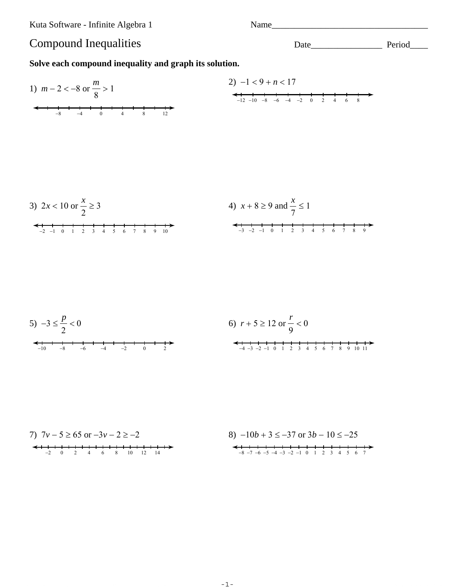Kuta Software - Infinite Algebra 1

Name

## **Compound Inequalities**

Solve each compound inequality and graph its solution.

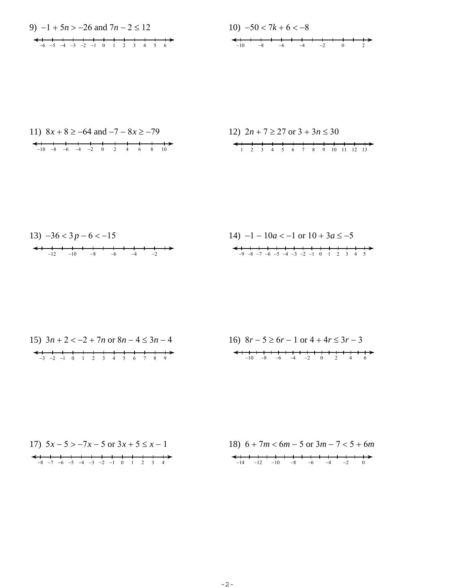9)  $-1 + 5n > -26$  and  $7n - 2 \le 12$  $-6$   $-5$   $-4$   $-3$   $-2$   $-1$  0 1 2 3 4 5 6



12) 
$$
2n + 7 \ge 27
$$
 or  $3 + 3n \le 30$   
  
 $\leftarrow$  1 2 3 4 5 6 7 8 9 10 11 12 13

| 15) $3n + 2 < -2 + 7n$ or $8n - 4 \le 3n - 4$ | 16) $8r - 5 \ge 6r - 1$ or $4 + 4r \le 3r - 3$ |
|-----------------------------------------------|------------------------------------------------|
| $-3$ $-2$ $-1$ 0 1 2 3 4 5 6 7 8 9            | $-10$ $-8$ $-6$ $-4$ $-2$ 0 2 4 6              |

| 17) $5x - 5 > -7x - 5$ or $3x + 5 \le x - 1$      | 18) $6 + 7m < 6m - 5$ or $3m - 7 < 5 + 6m$                                                                                                                                                                                                                                                                                                                                                                                                                                                                                                                                                                                                                                     |
|---------------------------------------------------|--------------------------------------------------------------------------------------------------------------------------------------------------------------------------------------------------------------------------------------------------------------------------------------------------------------------------------------------------------------------------------------------------------------------------------------------------------------------------------------------------------------------------------------------------------------------------------------------------------------------------------------------------------------------------------|
| $-8$ $-7$ $-6$ $-5$ $-4$ $-3$ $-2$ $-1$ 0 1 2 3 4 | $\begin{array}{c} \leftarrow \qquad \qquad \leftarrow \qquad \qquad \leftarrow \qquad \qquad \leftarrow \qquad \qquad \leftarrow \qquad \qquad \leftarrow \qquad \qquad \leftarrow \qquad \qquad \leftarrow \qquad \qquad \leftarrow \qquad \qquad \leftarrow \qquad \qquad \leftarrow \qquad \qquad \leftarrow \qquad \qquad \leftarrow \qquad \qquad \leftarrow \qquad \qquad \leftarrow \qquad \qquad \leftarrow \qquad \qquad \leftarrow \qquad \qquad \leftarrow \qquad \qquad \leftarrow \qquad \qquad \leftarrow \qquad \qquad \leftarrow \qquad \qquad \leftarrow \qquad \qquad \leftarrow \qquad \qquad \leftarrow \qquad$<br>$-14$ $-12$ $-10$ $-8$ $-6$ $-4$ $-2$ 0 |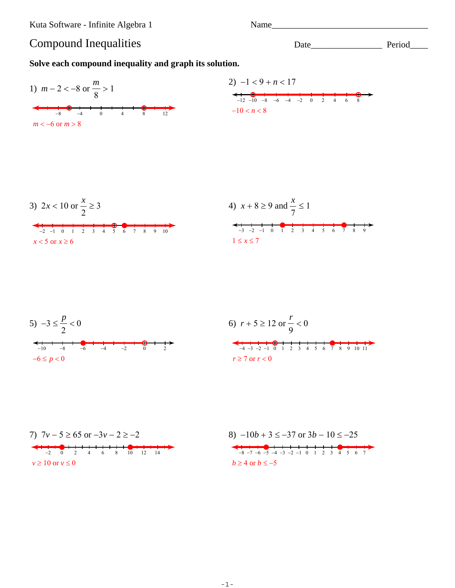Kuta Software - Infinite Algebra 1

Name

## **Compound Inequalities**

Solve each compound inequality and graph its solution.